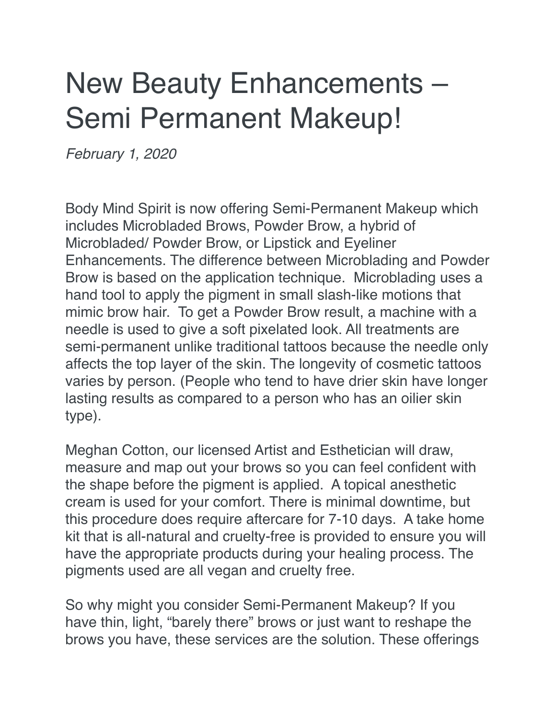## New Beauty Enhancements – Semi Permanent Makeup!

*February 1, 2020*

Body Mind Spirit is now offering Semi-Permanent Makeup which includes Microbladed Brows, Powder Brow, a hybrid of Microbladed/ Powder Brow, or Lipstick and Eyeliner Enhancements. The difference between Microblading and Powder Brow is based on the application technique. Microblading uses a hand tool to apply the pigment in small slash-like motions that mimic brow hair. To get a Powder Brow result, a machine with a needle is used to give a soft pixelated look. All treatments are semi-permanent unlike traditional tattoos because the needle only affects the top layer of the skin. The longevity of cosmetic tattoos varies by person. (People who tend to have drier skin have longer lasting results as compared to a person who has an oilier skin type).

Meghan Cotton, our licensed Artist and Esthetician will draw, measure and map out your brows so you can feel confident with the shape before the pigment is applied. A topical anesthetic cream is used for your comfort. There is minimal downtime, but this procedure does require aftercare for 7-10 days. A take home kit that is all-natural and cruelty-free is provided to ensure you will have the appropriate products during your healing process. The pigments used are all vegan and cruelty free.

So why might you consider Semi-Permanent Makeup? If you have thin, light, "barely there" brows or just want to reshape the brows you have, these services are the solution. These offerings